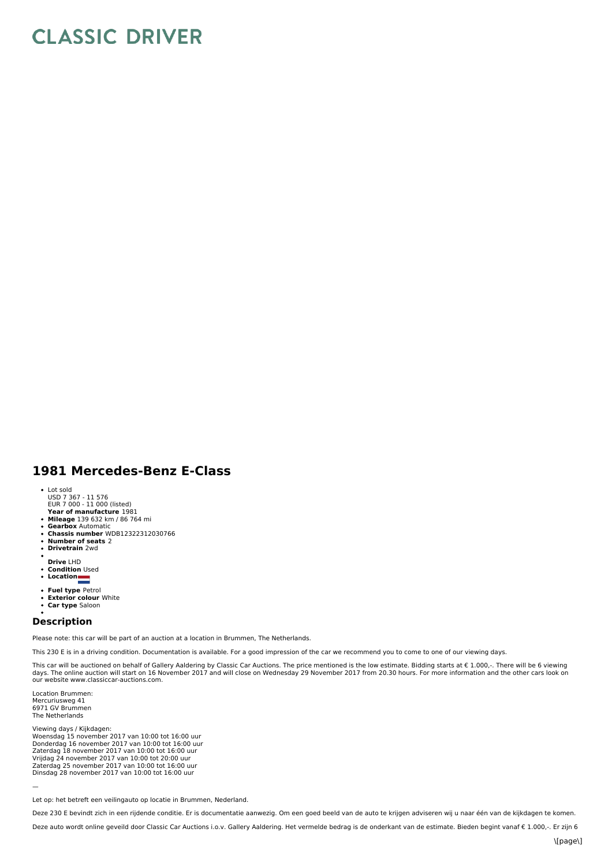## **CLASSIC DRIVER**

## **1981 Mercedes-Benz E-Class**

- Lot sold
- USD 7 367 11 576 EUR 7 000 11 000 (listed)
- **Year of manufacture** 1981
- **Mileage** 139 632 km / 86 764 mi
- $\bullet$ **Gearbox** Automatic
- **Chassis number** WDB12322312030766  $\bullet$
- **Number of seats** 2 **Drivetrain** 2wd  $\ddot{\phantom{0}}$
- 
- 
- **Drive** LHD **Condition** Used
- **Location**
- 
- **Fuel type** Petrol **Exterior colour** White
- **Car type** Saloon
- 

## **Description**

Please note: this car will be part of an auction at a location in Brummen, The Netherlands.

This 230 E is in a driving condition. Documentation is available. For a good impression of the car we recommend you to come to one of our viewing days.

This car will be auctioned on behalf of Gallery Aaldering by Classic Car Auctions. The price mentioned is the low estimate. Bidding starts at € 1.000,-. There will be 6 viewing<br>days. The online auction will start on 16 No our website www.classiccar-auctions.com.

Location Brummen: Mercuriusweg 41 6971 GV Brummen The Netherlands

—

Viewing days / Kijkdagen: Woensdag 15 november 2017 van 10:00 tot 16:00 uur<br>Donderdag 16 november 2017 van 10:00 tot 16:00 uur<br>Zaterdag 18 november 2017 van 10:00 tot 16:00 uur Vrijdag 24 november 2017 van 10:00 tot 20:00 uur<br>Zaterdag 25 november 2017 van 10:00 tot 16:00 uur<br>Dinsdag 28 november 2017 van 10:00 tot 16:00 uur

Let op: het betreft een veilingauto op locatie in Brummen, Nederland.

Deze 230 E bevindt zich in een rijdende conditie. Er is documentatie aanwezig. Om een goed beeld van de auto te krijgen adviseren wij u naar één van de kijkdagen te komen.

Deze auto wordt online geveild door Classic Car Auctions i.o.v. Gallery Aaldering. Het vermelde bedrag is de onderkant van de estimate. Bieden begint vanaf € 1.000,-. Er zijn 6